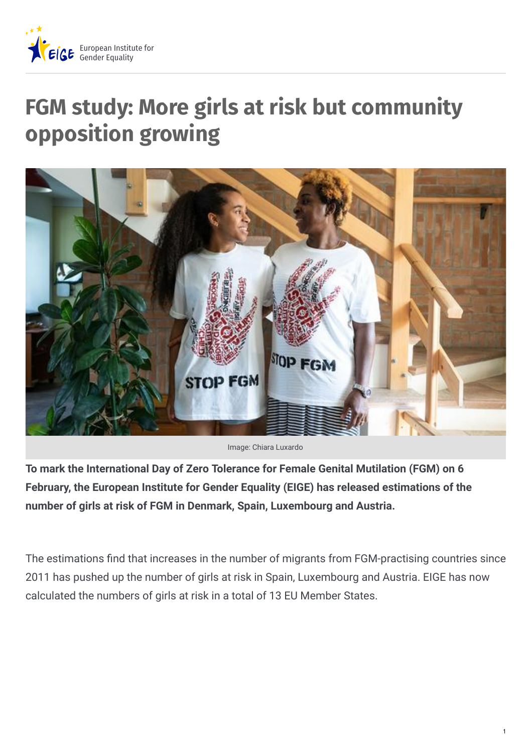

## **FGM study: More girls at risk but community opposition growing**



Image: Chiara Luxardo

**To mark the International Day of Zero Tolerance for Female Genital Mutilation (FGM) on 6 February, the European Institute for Gender Equality (EIGE) has released estimations of the number of girls at risk of FGM in Denmark, Spain, Luxembourg and Austria.**

The estimations find that increases in the number of migrants from FGM-practising countries since 2011 has pushed up the number of girls at risk in Spain, Luxembourg and Austria. EIGE has now calculated the numbers of girls at risk in a total of 13 EU Member States.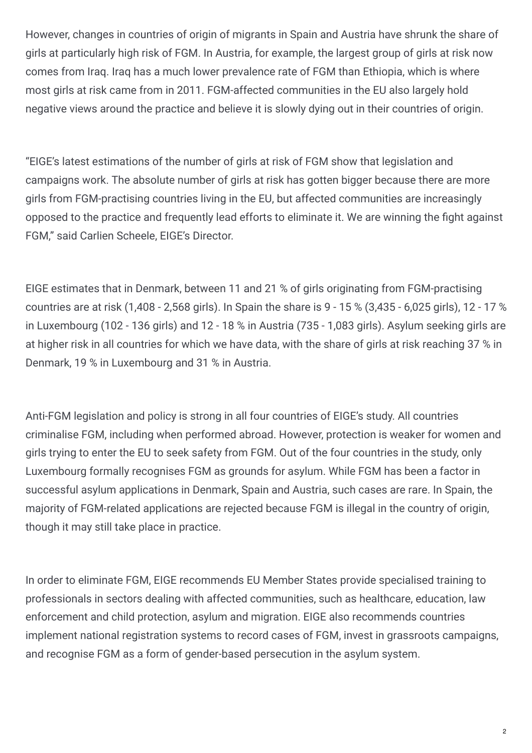However, changes in countries of origin of migrants in Spain and Austria have shrunk the share of girls at particularly high risk of FGM. In Austria, for example, the largest group of girls at risk now comes from Iraq. Iraq has a much lower prevalence rate of FGM than Ethiopia, which is where most girls at risk came from in 2011. FGM-affected communities in the EU also largely hold negative views around the practice and believe it is slowly dying out in their countries of origin.

"EIGE's latest estimations of the number of girls at risk of FGM show that legislation and campaigns work. The absolute number of girls at risk has gotten bigger because there are more girls from FGM-practising countries living in the EU, but affected communities are increasingly opposed to the practice and frequently lead efforts to eliminate it. We are winning the fight against FGM," said Carlien Scheele, EIGE's Director.

EIGE estimates that in Denmark, between 11 and 21 % of girls originating from FGM-practising countries are at risk (1,408 - 2,568 girls). In Spain the share is 9 - 15 % (3,435 - 6,025 girls), 12 - 17 % in Luxembourg (102 - 136 girls) and 12 - 18 % in Austria (735 - 1,083 girls). Asylum seeking girls are at higher risk in all countries for which we have data, with the share of girls at risk reaching 37 % in Denmark, 19 % in Luxembourg and 31 % in Austria.

Anti-FGM legislation and policy is strong in all four countries of EIGE's study. All countries criminalise FGM, including when performed abroad. However, protection is weaker for women and girls trying to enter the EU to seek safety from FGM. Out of the four countries in the study, only Luxembourg formally recognises FGM as grounds for asylum. While FGM has been a factor in successful asylum applications in Denmark, Spain and Austria, such cases are rare. In Spain, the majority of FGM-related applications are rejected because FGM is illegal in the country of origin, though it may still take place in practice.

In order to eliminate FGM, EIGE recommends EU Member States provide specialised training to professionals in sectors dealing with affected communities, such as healthcare, education, law enforcement and child protection, asylum and migration. EIGE also recommends countries implement national registration systems to record cases of FGM, invest in grassroots campaigns, and recognise FGM as a form of gender-based persecution in the asylum system.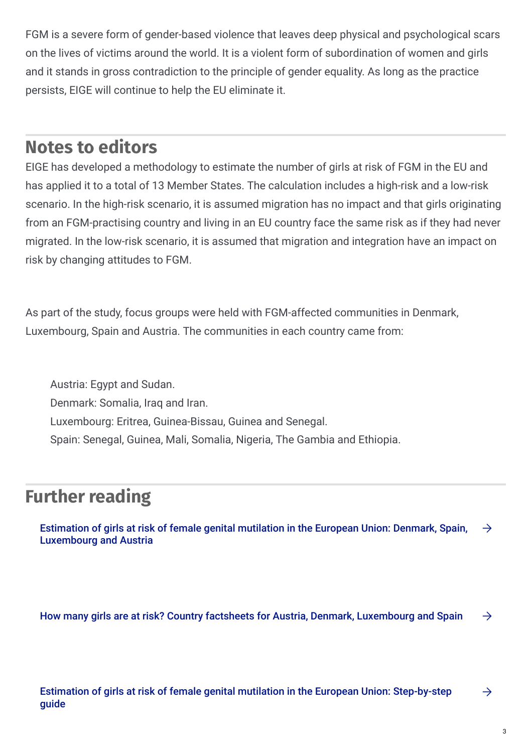FGM is a severe form of gender-based violence that leaves deep physical and psychological scars on the lives of victims around the world. It is a violent form of subordination of women and girls and it stands in gross contradiction to the principle of gender equality. As long as the practice persists, EIGE will continue to help the EU eliminate it.

## **Notes to editors**

EIGE has developed a methodology to estimate the number of girls at risk of FGM in the EU and has applied it to a total of 13 Member States. The calculation includes a high-risk and a low-risk scenario. In the high-risk scenario, it is assumed migration has no impact and that girls originating from an FGM-practising country and living in an EU country face the same risk as if they had never migrated. In the low-risk scenario, it is assumed that migration and integration have an impact on risk by changing attitudes to FGM.

As part of the study, focus groups were held with FGM-affected communities in Denmark, Luxembourg, Spain and Austria. The communities in each country came from:

Austria: Egypt and Sudan. Denmark: Somalia, Iraq and Iran. Luxembourg: Eritrea, Guinea-Bissau, Guinea and Senegal. Spain: Senegal, Guinea, Mali, Somalia, Nigeria, The Gambia and Ethiopia.

## **Further reading**

Estimation of girls at risk of female genital mutilation in the European Union: Denmark, Spain, [Luxembourg](https://eige.europa.eu/publications/estimation-girls-risk-female-genital-mutilation-european-union-denmark-spain-luxembourg-and-austria) and Austria  $\rightarrow$ 

How many girls are at risk? Country factsheets for Austria, Denmark, [Luxembourg](https://eige.europa.eu/areas/fgm-risk-estimation-factsheets-2021) and Spain  $\rightarrow$ 

Estimation of girls at risk of female genital mutilation in the European Union: [Step-by-step](https://eige.europa.eu/publications/estimation-girls-risk-female-genital-mutilation-european-union-step-step-guide-2nd-edition) guide

 $\rightarrow$